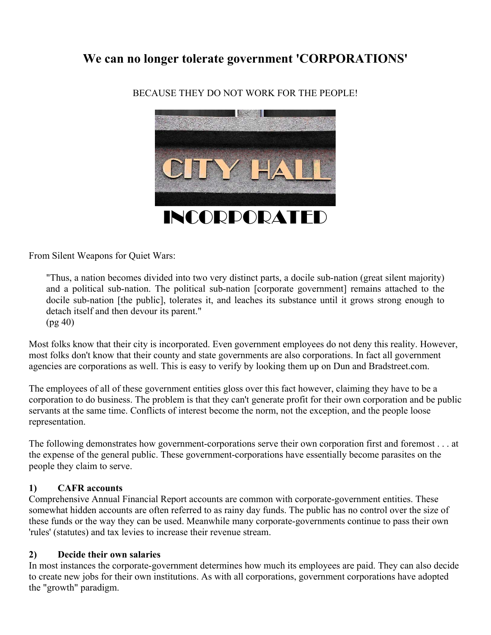# **We can no longer tolerate government 'CORPORATIONS'**



BECAUSE THEY DO NOT WORK FOR THE PEOPLE!

From Silent Weapons for Quiet Wars:

"Thus, a nation becomes divided into two very distinct parts, a docile sub-nation (great silent majority) and a political sub-nation. The political sub-nation [corporate government] remains attached to the docile sub-nation [the public], tolerates it, and leaches its substance until it grows strong enough to detach itself and then devour its parent." (pg 40)

Most folks know that their city is incorporated. Even government employees do not deny this reality. However, most folks don't know that their county and state governments are also corporations. In fact all government agencies are corporations as well. This is easy to verify by looking them up on Dun and Bradstreet.com.

The employees of all of these government entities gloss over this fact however, claiming they have to be a corporation to do business. The problem is that they can't generate profit for their own corporation and be public servants at the same time. Conflicts of interest become the norm, not the exception, and the people loose representation.

The following demonstrates how government-corporations serve their own corporation first and foremost . . . at the expense of the general public. These government-corporations have essentially become parasites on the people they claim to serve.

#### **1) CAFR accounts**

Comprehensive Annual Financial Report accounts are common with corporate-government entities. These somewhat hidden accounts are often referred to as rainy day funds. The public has no control over the size of these funds or the way they can be used. Meanwhile many corporate-governments continue to pass their own 'rules' (statutes) and tax levies to increase their revenue stream.

#### **2) Decide their own salaries**

In most instances the corporate-government determines how much its employees are paid. They can also decide to create new jobs for their own institutions. As with all corporations, government corporations have adopted the "growth" paradigm.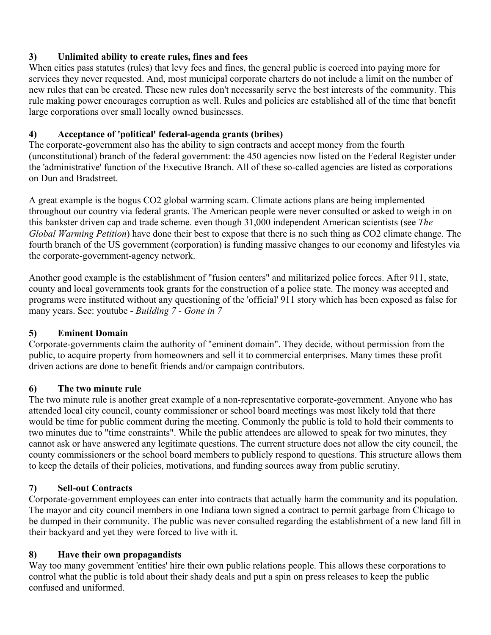# **3) Unlimited ability to create rules, fines and fees**

When cities pass statutes (rules) that levy fees and fines, the general public is coerced into paying more for services they never requested. And, most municipal corporate charters do not include a limit on the number of new rules that can be created. These new rules don't necessarily serve the best interests of the community. This rule making power encourages corruption as well. Rules and policies are established all of the time that benefit large corporations over small locally owned businesses.

# **4) Acceptance of 'political' federal-agenda grants (bribes)**

The corporate-government also has the ability to sign contracts and accept money from the fourth (unconstitutional) branch of the federal government: the 450 agencies now listed on the Federal Register under the 'administrative' function of the Executive Branch. All of these so-called agencies are listed as corporations on Dun and Bradstreet.

A great example is the bogus CO2 global warming scam. Climate actions plans are being implemented throughout our country via federal grants. The American people were never consulted or asked to weigh in on this bankster driven cap and trade scheme. even though 31,000 independent American scientists (see *The Global Warming Petition*) have done their best to expose that there is no such thing as CO2 climate change. The fourth branch of the US government (corporation) is funding massive changes to our economy and lifestyles via the corporate-government-agency network.

Another good example is the establishment of "fusion centers" and militarized police forces. After 911, state, county and local governments took grants for the construction of a police state. The money was accepted and programs were instituted without any questioning of the 'official' 911 story which has been exposed as false for many years. See: youtube - *Building 7 - Gone in 7*

## **5) Eminent Domain**

Corporate-governments claim the authority of "eminent domain". They decide, without permission from the public, to acquire property from homeowners and sell it to commercial enterprises. Many times these profit driven actions are done to benefit friends and/or campaign contributors.

# **6) The two minute rule**

The two minute rule is another great example of a non-representative corporate-government. Anyone who has attended local city council, county commissioner or school board meetings was most likely told that there would be time for public comment during the meeting. Commonly the public is told to hold their comments to two minutes due to "time constraints". While the public attendees are allowed to speak for two minutes, they cannot ask or have answered any legitimate questions. The current structure does not allow the city council, the county commissioners or the school board members to publicly respond to questions. This structure allows them to keep the details of their policies, motivations, and funding sources away from public scrutiny.

# **7) Sell-out Contracts**

Corporate-government employees can enter into contracts that actually harm the community and its population. The mayor and city council members in one Indiana town signed a contract to permit garbage from Chicago to be dumped in their community. The public was never consulted regarding the establishment of a new land fill in their backyard and yet they were forced to live with it.

# **8) Have their own propagandists**

Way too many government 'entities' hire their own public relations people. This allows these corporations to control what the public is told about their shady deals and put a spin on press releases to keep the public confused and uniformed.